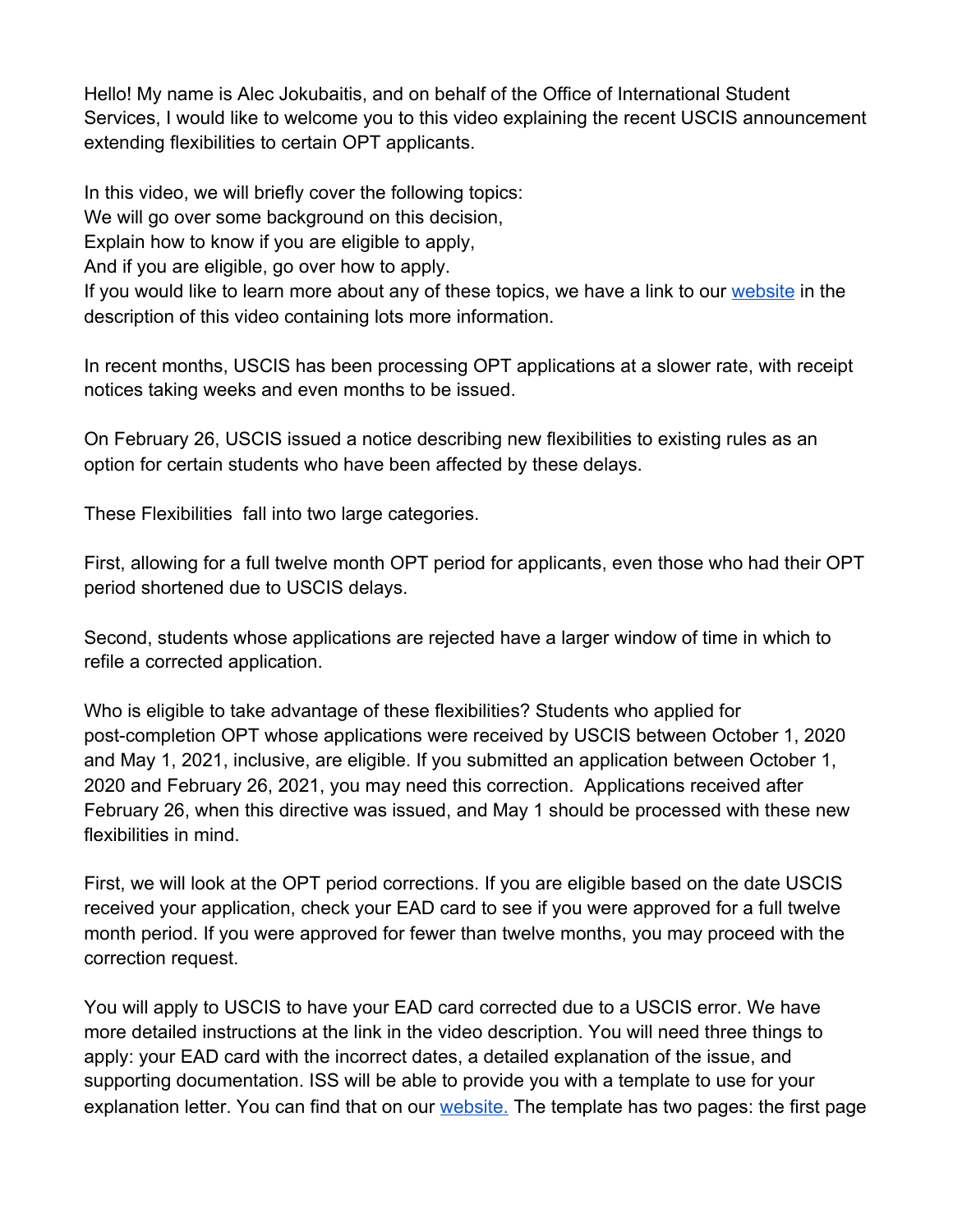Hello! My name is Alec Jokubaitis, and on behalf of the Office of International Student Services, I would like to welcome you to this video explaining the recent USCIS announcement extending flexibilities to certain OPT applicants.

In this video, we will briefly cover the following topics:

We will go over some background on this decision,

Explain how to know if you are eligible to apply,

And if you are eligible, go over how to apply.

If you would like to learn more about any of these topics, we have a link to our [website](https://case.edu/international/international-student-services/employment-training/uscis-flexibilities-opt) in the description of this video containing lots more information.

In recent months, USCIS has been processing OPT applications at a slower rate, with receipt notices taking weeks and even months to be issued.

On February 26, USCIS issued a notice describing new flexibilities to existing rules as an option for certain students who have been affected by these delays.

These Flexibilities fall into two large categories.

First, allowing for a full twelve month OPT period for applicants, even those who had their OPT period shortened due to USCIS delays.

Second, students whose applications are rejected have a larger window of time in which to refile a corrected application.

Who is eligible to take advantage of these flexibilities? Students who applied for post-completion OPT whose applications were received by USCIS between October 1, 2020 and May 1, 2021, inclusive, are eligible. If you submitted an application between October 1, 2020 and February 26, 2021, you may need this correction. Applications received after February 26, when this directive was issued, and May 1 should be processed with these new flexibilities in mind.

First, we will look at the OPT period corrections. If you are eligible based on the date USCIS received your application, check your EAD card to see if you were approved for a full twelve month period. If you were approved for fewer than twelve months, you may proceed with the correction request.

You will apply to USCIS to have your EAD card corrected due to a USCIS error. We have more detailed instructions at the link in the video description. You will need three things to apply: your EAD card with the incorrect dates, a detailed explanation of the issue, and supporting documentation. ISS will be able to provide you with a template to use for your explanation letter. You can find that on our [website.](https://case.edu/international/international-student-services/employment-training/uscis-flexibilities-opt) The template has two pages: the first page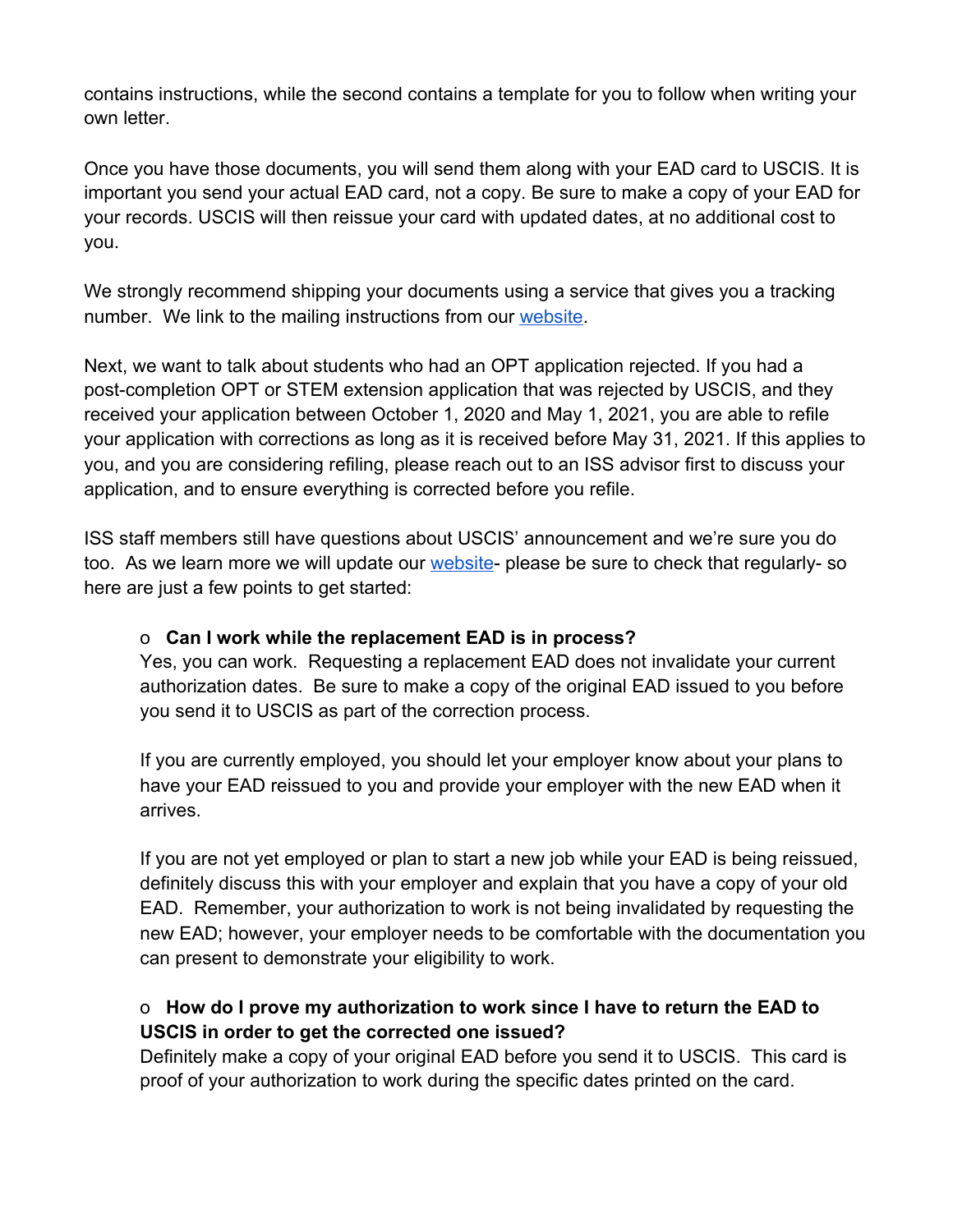contains instructions, while the second contains a template for you to follow when writing your own letter.

Once you have those documents, you will send them along with your EAD card to USCIS. It is important you send your actual EAD card, not a copy. Be sure to make a copy of your EAD for your records. USCIS will then reissue your card with updated dates, at no additional cost to you.

We strongly recommend shipping your documents using a service that gives you a tracking number. We link to the mailing instructions from our [website.](https://case.edu/international/international-student-services/employment-training/uscis-flexibilities-opt)

Next, we want to talk about students who had an OPT application rejected. If you had a post-completion OPT or STEM extension application that was rejected by USCIS, and they received your application between October 1, 2020 and May 1, 2021, you are able to refile your application with corrections as long as it is received before May 31, 2021. If this applies to you, and you are considering refiling, please reach out to an ISS advisor first to discuss your application, and to ensure everything is corrected before you refile.

ISS staff members still have questions about USCIS' announcement and we're sure you do too. As we learn more we will update our [website](https://case.edu/international/international-student-services/employment-training/uscis-flexibilities-opt)- please be sure to check that regularly- so here are just a few points to get started:

#### o **Can I work while the replacement EAD is in process?**

Yes, you can work. Requesting a replacement EAD does not invalidate your current authorization dates. Be sure to make a copy of the original EAD issued to you before you send it to USCIS as part of the correction process.

If you are currently employed, you should let your employer know about your plans to have your EAD reissued to you and provide your employer with the new EAD when it arrives.

If you are not yet employed or plan to start a new job while your EAD is being reissued, definitely discuss this with your employer and explain that you have a copy of your old EAD. Remember, your authorization to work is not being invalidated by requesting the new EAD; however, your employer needs to be comfortable with the documentation you can present to demonstrate your eligibility to work.

# o **How do I prove my authorization to work since I have to return the EAD to USCIS in order to get the corrected one issued?**

Definitely make a copy of your original EAD before you send it to USCIS. This card is proof of your authorization to work during the specific dates printed on the card.